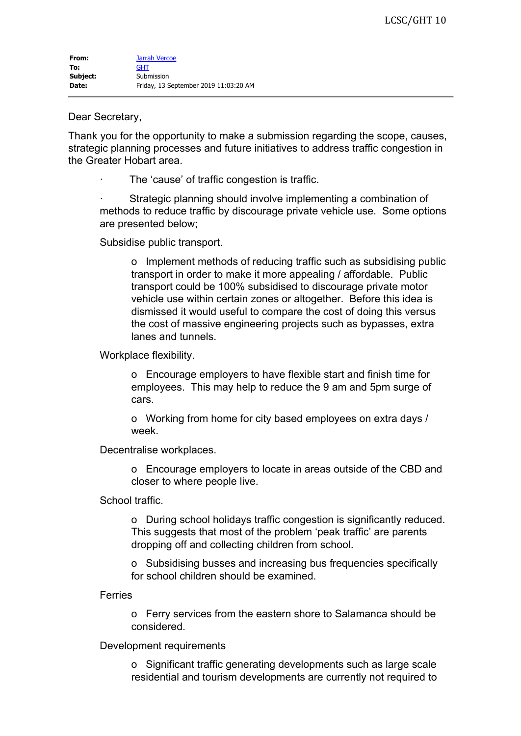## Dear Secretary,

Thank you for the opportunity to make a submission regarding the scope, causes, strategic planning processes and future initiatives to address traffic congestion in the Greater Hobart area.

The 'cause' of traffic congestion is traffic.

Strategic planning should involve implementing a combination of methods to reduce traffic by discourage private vehicle use. Some options are presented below;

Subsidise public transport.

o Implement methods of reducing traffic such as subsidising public transport in order to make it more appealing / affordable. Public transport could be 100% subsidised to discourage private motor vehicle use within certain zones or altogether. Before this idea is dismissed it would useful to compare the cost of doing this versus the cost of massive engineering projects such as bypasses, extra lanes and tunnels.

Workplace flexibility.

o Encourage employers to have flexible start and finish time for employees. This may help to reduce the 9 am and 5pm surge of cars.

o Working from home for city based employees on extra days / week.

Decentralise workplaces.

o Encourage employers to locate in areas outside of the CBD and closer to where people live.

School traffic.

o During school holidays traffic congestion is significantly reduced. This suggests that most of the problem 'peak traffic' are parents dropping off and collecting children from school.

o Subsidising busses and increasing bus frequencies specifically for school children should be examined.

Ferries

o Ferry services from the eastern shore to Salamanca should be considered.

Development requirements

o Significant traffic generating developments such as large scale residential and tourism developments are currently not required to